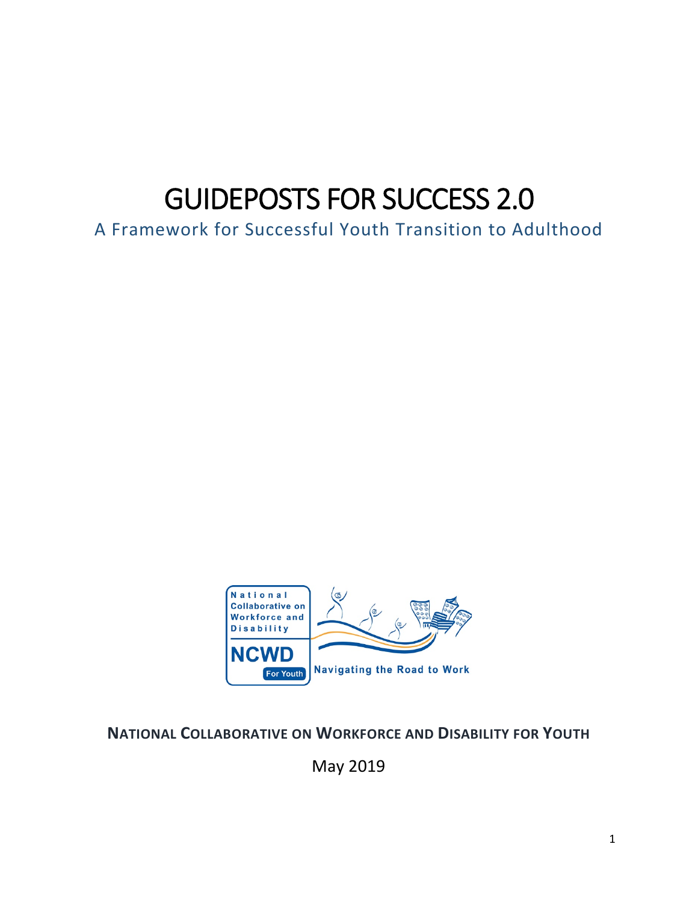# GUIDEPOSTS FOR SUCCESS 2.0

A Framework for Successful Youth Transition to Adulthood



## **NATIONAL COLLABORATIVE ON WORKFORCE AND DISABILITY FOR YOUTH**

May 2019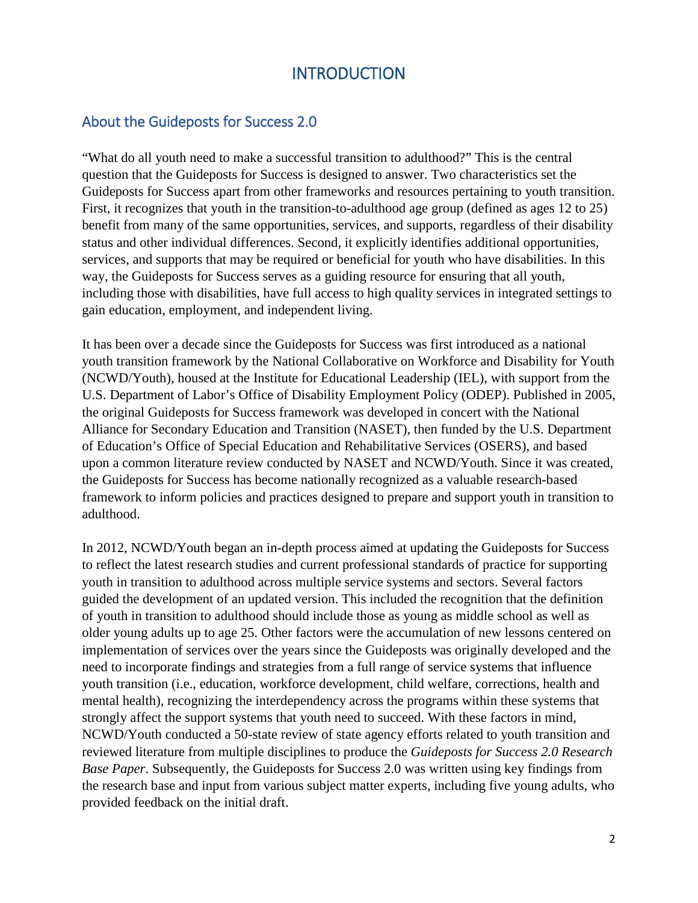## **INTRODUCTION**

## About the Guideposts for Success 2.0

"What do all youth need to make a successful transition to adulthood?" This is the central question that the Guideposts for Success is designed to answer. Two characteristics set the Guideposts for Success apart from other frameworks and resources pertaining to youth transition. First, it recognizes that youth in the transition-to-adulthood age group (defined as ages 12 to 25) benefit from many of the same opportunities, services, and supports, regardless of their disability status and other individual differences. Second, it explicitly identifies additional opportunities, services, and supports that may be required or beneficial for youth who have disabilities. In this way, the Guideposts for Success serves as a guiding resource for ensuring that all youth, including those with disabilities, have full access to high quality services in integrated settings to gain education, employment, and independent living.

It has been over a decade since the Guideposts for Success was first introduced as a national youth transition framework by the National Collaborative on Workforce and Disability for Youth (NCWD/Youth), housed at the Institute for Educational Leadership (IEL), with support from the U.S. Department of Labor's Office of Disability Employment Policy (ODEP). Published in 2005, the original Guideposts for Success framework was developed in concert with the National Alliance for Secondary Education and Transition (NASET), then funded by the U.S. Department of Education's Office of Special Education and Rehabilitative Services (OSERS), and based upon a common literature review conducted by NASET and NCWD/Youth. Since it was created, the Guideposts for Success has become nationally recognized as a valuable research-based framework to inform policies and practices designed to prepare and support youth in transition to adulthood.

In 2012, NCWD/Youth began an in-depth process aimed at updating the Guideposts for Success to reflect the latest research studies and current professional standards of practice for supporting youth in transition to adulthood across multiple service systems and sectors. Several factors guided the development of an updated version. This included the recognition that the definition of youth in transition to adulthood should include those as young as middle school as well as older young adults up to age 25. Other factors were the accumulation of new lessons centered on implementation of services over the years since the Guideposts was originally developed and the need to incorporate findings and strategies from a full range of service systems that influence youth transition (i.e., education, workforce development, child welfare, corrections, health and mental health), recognizing the interdependency across the programs within these systems that strongly affect the support systems that youth need to succeed. With these factors in mind, NCWD/Youth conducted a 50-state review of state agency efforts related to youth transition and reviewed literature from multiple disciplines to produce the *Guideposts for Success 2.0 Research Base Paper*. Subsequently, the Guideposts for Success 2.0 was written using key findings from the research base and input from various subject matter experts, including five young adults, who provided feedback on the initial draft.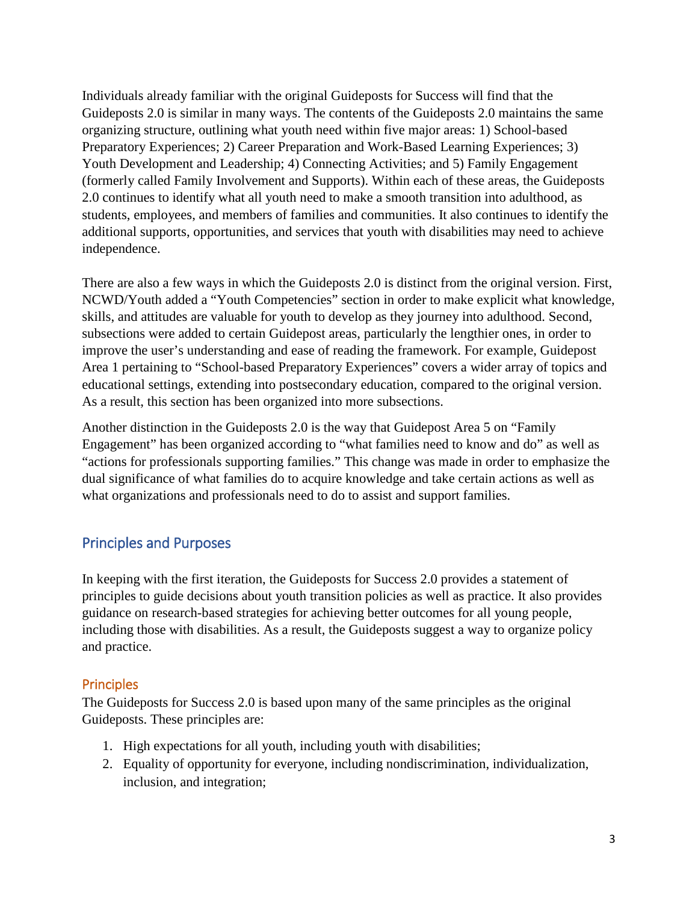Individuals already familiar with the original Guideposts for Success will find that the Guideposts 2.0 is similar in many ways. The contents of the Guideposts 2.0 maintains the same organizing structure, outlining what youth need within five major areas: 1) School-based Preparatory Experiences; 2) Career Preparation and Work-Based Learning Experiences; 3) Youth Development and Leadership; 4) Connecting Activities; and 5) Family Engagement (formerly called Family Involvement and Supports). Within each of these areas, the Guideposts 2.0 continues to identify what all youth need to make a smooth transition into adulthood, as students, employees, and members of families and communities. It also continues to identify the additional supports, opportunities, and services that youth with disabilities may need to achieve independence.

There are also a few ways in which the Guideposts 2.0 is distinct from the original version. First, NCWD/Youth added a "Youth Competencies" section in order to make explicit what knowledge, skills, and attitudes are valuable for youth to develop as they journey into adulthood. Second, subsections were added to certain Guidepost areas, particularly the lengthier ones, in order to improve the user's understanding and ease of reading the framework. For example, Guidepost Area 1 pertaining to "School-based Preparatory Experiences" covers a wider array of topics and educational settings, extending into postsecondary education, compared to the original version. As a result, this section has been organized into more subsections.

Another distinction in the Guideposts 2.0 is the way that Guidepost Area 5 on "Family Engagement" has been organized according to "what families need to know and do" as well as "actions for professionals supporting families." This change was made in order to emphasize the dual significance of what families do to acquire knowledge and take certain actions as well as what organizations and professionals need to do to assist and support families.

## Principles and Purposes

In keeping with the first iteration, the Guideposts for Success 2.0 provides a statement of principles to guide decisions about youth transition policies as well as practice. It also provides guidance on research-based strategies for achieving better outcomes for all young people, including those with disabilities. As a result, the Guideposts suggest a way to organize policy and practice.

#### **Principles**

The Guideposts for Success 2.0 is based upon many of the same principles as the original Guideposts. These principles are:

- 1. High expectations for all youth, including youth with disabilities;
- 2. Equality of opportunity for everyone, including nondiscrimination, individualization, inclusion, and integration;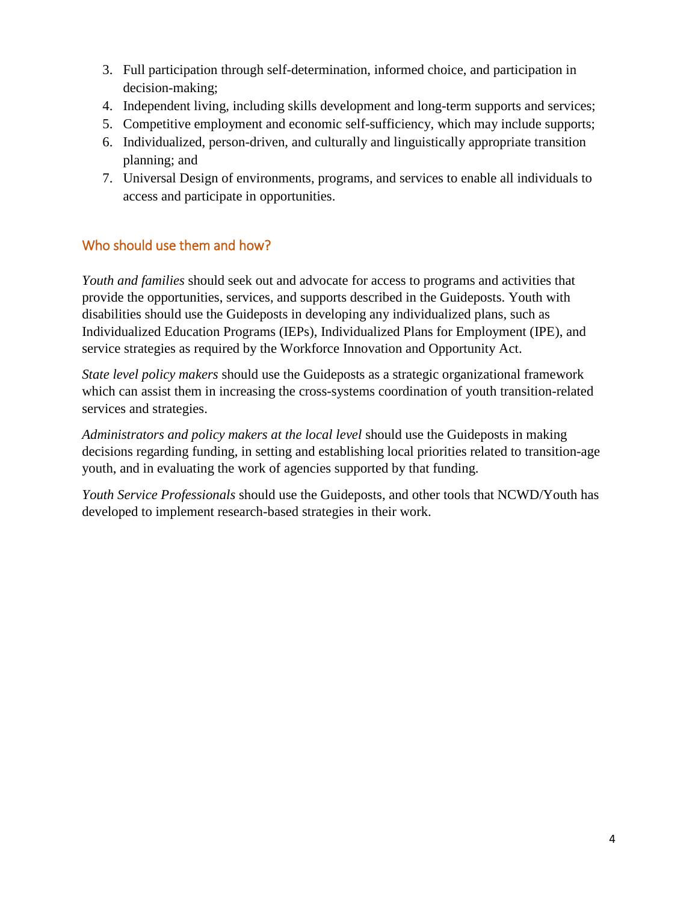- 3. Full participation through self-determination, informed choice, and participation in decision-making;
- 4. Independent living, including skills development and long-term supports and services;
- 5. Competitive employment and economic self-sufficiency, which may include supports;
- 6. Individualized, person-driven, and culturally and linguistically appropriate transition planning; and
- 7. Universal Design of environments, programs, and services to enable all individuals to access and participate in opportunities.

## Who should use them and how?

*Youth and families* should seek out and advocate for access to programs and activities that provide the opportunities, services, and supports described in the Guideposts. Youth with disabilities should use the Guideposts in developing any individualized plans, such as Individualized Education Programs (IEPs), Individualized Plans for Employment (IPE), and service strategies as required by the Workforce Innovation and Opportunity Act.

*State level policy makers* should use the Guideposts as a strategic organizational framework which can assist them in increasing the cross-systems coordination of youth transition-related services and strategies.

*Administrators and policy makers at the local level* should use the Guideposts in making decisions regarding funding, in setting and establishing local priorities related to transition-age youth, and in evaluating the work of agencies supported by that funding.

*Youth Service Professionals* should use the Guideposts, and other tools that NCWD/Youth has developed to implement research-based strategies in their work.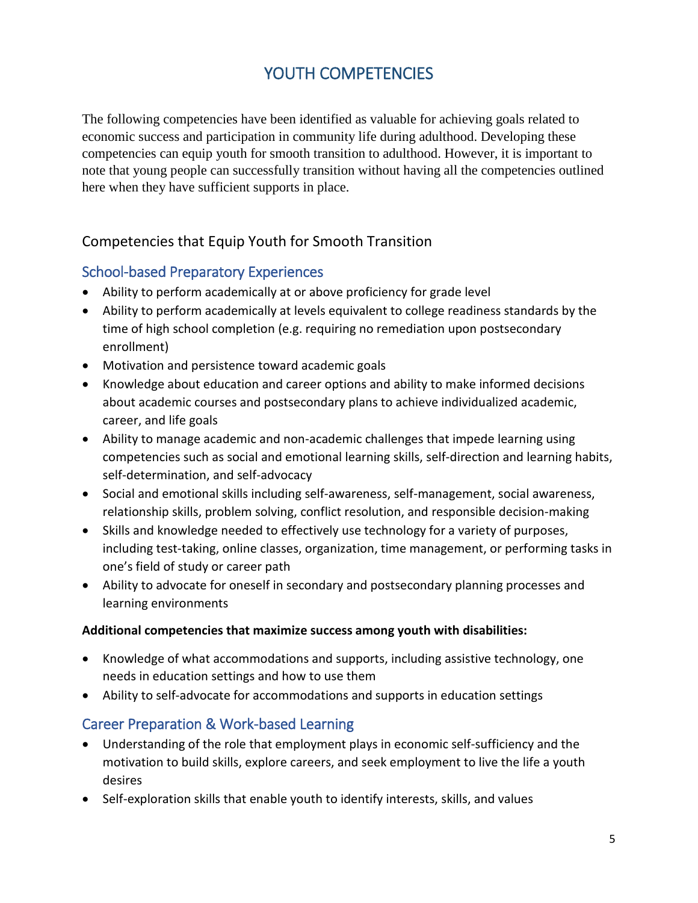# YOUTH COMPETENCIES

The following competencies have been identified as valuable for achieving goals related to economic success and participation in community life during adulthood. Developing these competencies can equip youth for smooth transition to adulthood. However, it is important to note that young people can successfully transition without having all the competencies outlined here when they have sufficient supports in place.

## Competencies that Equip Youth for Smooth Transition

## School-based Preparatory Experiences

- Ability to perform academically at or above proficiency for grade level
- Ability to perform academically at levels equivalent to college readiness standards by the time of high school completion (e.g. requiring no remediation upon postsecondary enrollment)
- Motivation and persistence toward academic goals
- Knowledge about education and career options and ability to make informed decisions about academic courses and postsecondary plans to achieve individualized academic, career, and life goals
- Ability to manage academic and non-academic challenges that impede learning using competencies such as social and emotional learning skills, self-direction and learning habits, self-determination, and self-advocacy
- Social and emotional skills including self-awareness, self-management, social awareness, relationship skills, problem solving, conflict resolution, and responsible decision-making
- Skills and knowledge needed to effectively use technology for a variety of purposes, including test-taking, online classes, organization, time management, or performing tasks in one's field of study or career path
- Ability to advocate for oneself in secondary and postsecondary planning processes and learning environments

#### **Additional competencies that maximize success among youth with disabilities:**

- Knowledge of what accommodations and supports, including assistive technology, one needs in education settings and how to use them
- Ability to self-advocate for accommodations and supports in education settings

## Career Preparation & Work-based Learning

- Understanding of the role that employment plays in economic self-sufficiency and the motivation to build skills, explore careers, and seek employment to live the life a youth desires
- Self-exploration skills that enable youth to identify interests, skills, and values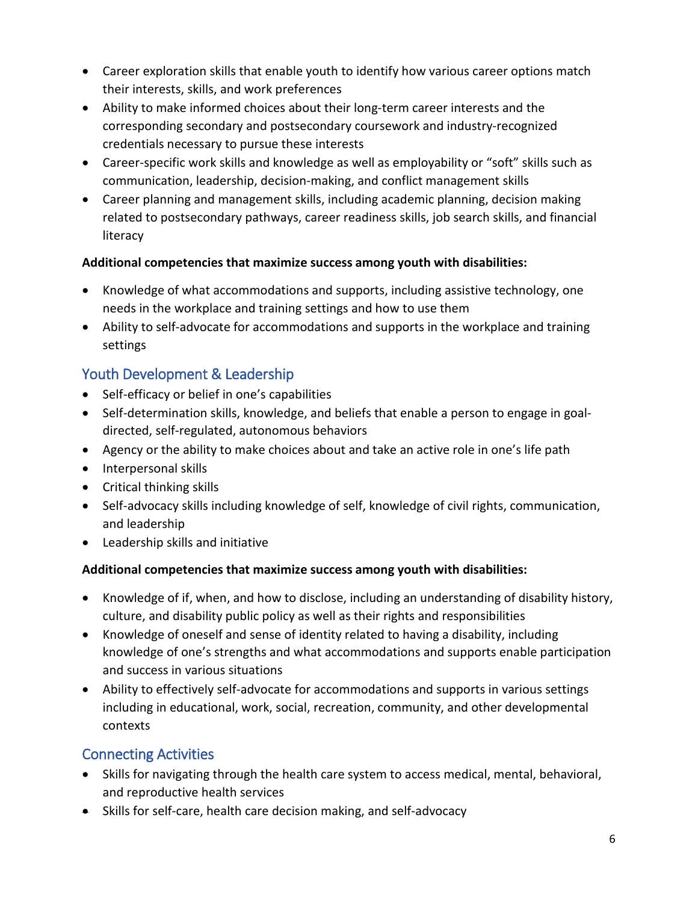- Career exploration skills that enable youth to identify how various career options match their interests, skills, and work preferences
- Ability to make informed choices about their long-term career interests and the corresponding secondary and postsecondary coursework and industry-recognized credentials necessary to pursue these interests
- Career-specific work skills and knowledge as well as employability or "soft" skills such as communication, leadership, decision-making, and conflict management skills
- Career planning and management skills, including academic planning, decision making related to postsecondary pathways, career readiness skills, job search skills, and financial literacy

## **Additional competencies that maximize success among youth with disabilities:**

- Knowledge of what accommodations and supports, including assistive technology, one needs in the workplace and training settings and how to use them
- Ability to self-advocate for accommodations and supports in the workplace and training settings

## Youth Development & Leadership

- Self-efficacy or belief in one's capabilities
- Self-determination skills, knowledge, and beliefs that enable a person to engage in goaldirected, self-regulated, autonomous behaviors
- Agency or the ability to make choices about and take an active role in one's life path
- Interpersonal skills
- Critical thinking skills
- Self-advocacy skills including knowledge of self, knowledge of civil rights, communication, and leadership
- Leadership skills and initiative

## **Additional competencies that maximize success among youth with disabilities:**

- Knowledge of if, when, and how to disclose, including an understanding of disability history, culture, and disability public policy as well as their rights and responsibilities
- Knowledge of oneself and sense of identity related to having a disability, including knowledge of one's strengths and what accommodations and supports enable participation and success in various situations
- Ability to effectively self-advocate for accommodations and supports in various settings including in educational, work, social, recreation, community, and other developmental contexts

## Connecting Activities

- Skills for navigating through the health care system to access medical, mental, behavioral, and reproductive health services
- Skills for self-care, health care decision making, and self-advocacy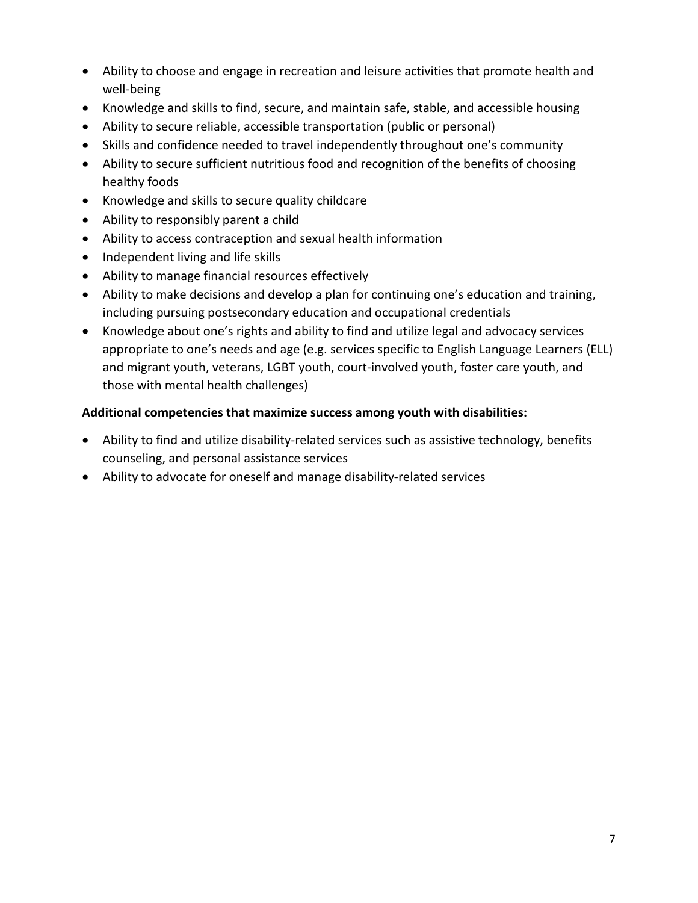- Ability to choose and engage in recreation and leisure activities that promote health and well-being
- Knowledge and skills to find, secure, and maintain safe, stable, and accessible housing
- Ability to secure reliable, accessible transportation (public or personal)
- Skills and confidence needed to travel independently throughout one's community
- Ability to secure sufficient nutritious food and recognition of the benefits of choosing healthy foods
- Knowledge and skills to secure quality childcare
- Ability to responsibly parent a child
- Ability to access contraception and sexual health information
- Independent living and life skills
- Ability to manage financial resources effectively
- Ability to make decisions and develop a plan for continuing one's education and training, including pursuing postsecondary education and occupational credentials
- Knowledge about one's rights and ability to find and utilize legal and advocacy services appropriate to one's needs and age (e.g. services specific to English Language Learners (ELL) and migrant youth, veterans, LGBT youth, court-involved youth, foster care youth, and those with mental health challenges)

#### **Additional competencies that maximize success among youth with disabilities:**

- Ability to find and utilize disability-related services such as assistive technology, benefits counseling, and personal assistance services
- Ability to advocate for oneself and manage disability-related services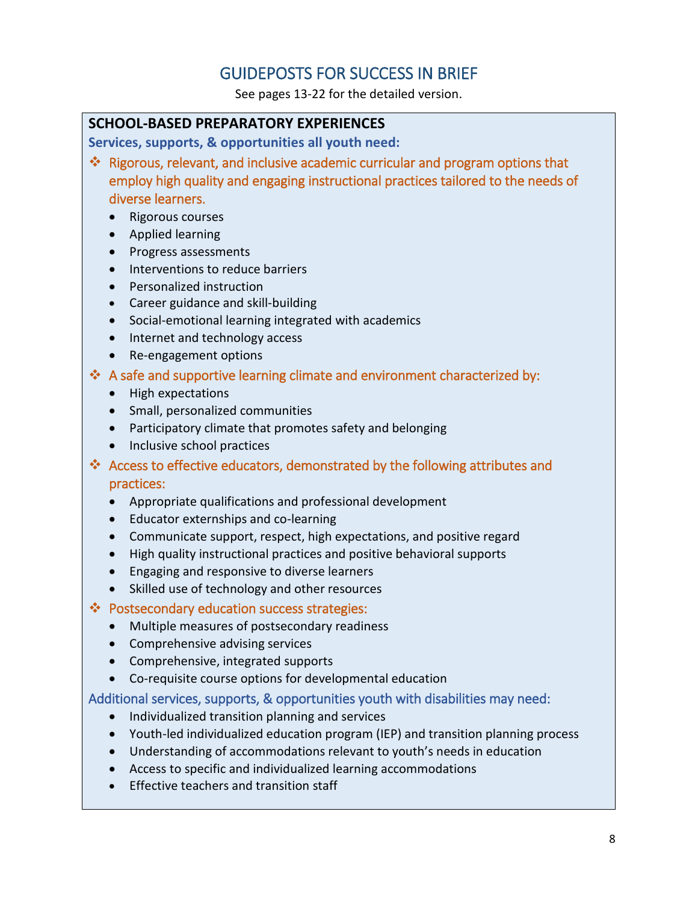## GUIDEPOSTS FOR SUCCESS IN BRIEF

See pages 13-22 for the detailed version.

#### **SCHOOL-BASED PREPARATORY EXPERIENCES**

**Services, supports, & opportunities all youth need:** 

- Rigorous, relevant, and inclusive academic curricular and program options that employ high quality and engaging instructional practices tailored to the needs of diverse learners.
	- Rigorous courses
	- Applied learning
	- Progress assessments
	- Interventions to reduce barriers
	- Personalized instruction
	- Career guidance and skill-building
	- Social-emotional learning integrated with academics
	- Internet and technology access
	- Re-engagement options
- A safe and supportive learning climate and environment characterized by:
	- High expectations
	- Small, personalized communities
	- Participatory climate that promotes safety and belonging
	- Inclusive school practices
- Access to effective educators, demonstrated by the following attributes and practices:
	- Appropriate qualifications and professional development
	- Educator externships and co-learning
	- Communicate support, respect, high expectations, and positive regard
	- High quality instructional practices and positive behavioral supports
	- Engaging and responsive to diverse learners
	- Skilled use of technology and other resources
- ❖ Postsecondary education success strategies:
	- Multiple measures of postsecondary readiness
	- Comprehensive advising services
	- Comprehensive, integrated supports
	- Co-requisite course options for developmental education

- Individualized transition planning and services
- Youth-led individualized education program (IEP) and transition planning process
- Understanding of accommodations relevant to youth's needs in education
- Access to specific and individualized learning accommodations
- Effective teachers and transition staff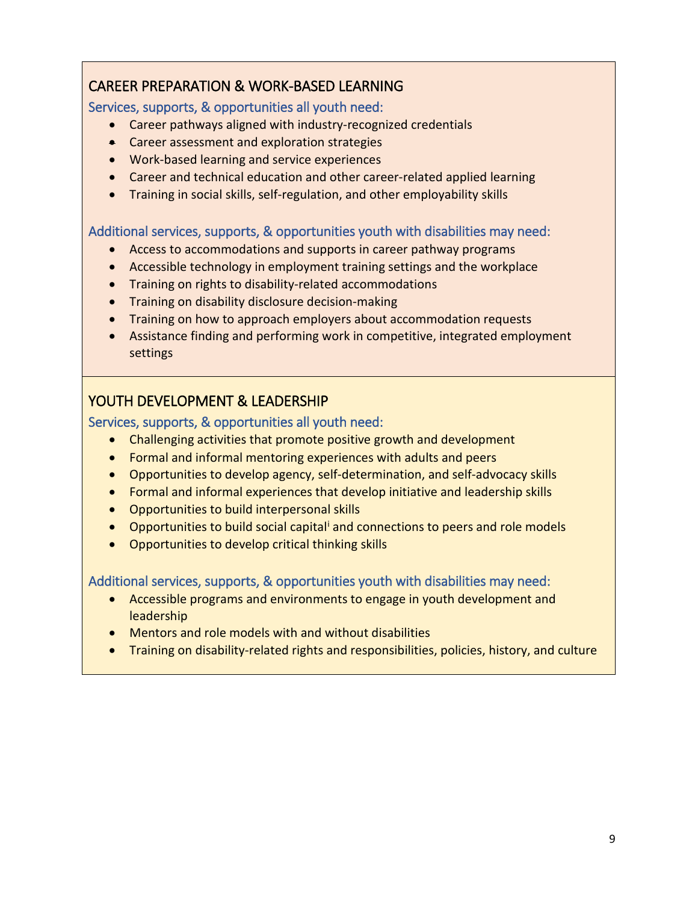## CAREER PREPARATION & WORK-BASED LEARNING

Services, supports, & opportunities all youth need:

- Career pathways aligned with industry-recognized credentials
- Career assessment and exploration strategies
- Work-based learning and service experiences
- Career and technical education and other career-related applied learning
- Training in social skills, self-regulation, and other employability skills

#### Additional services, supports, & opportunities youth with disabilities may need:

- Access to accommodations and supports in career pathway programs
- Accessible technology in employment training settings and the workplace
- Training on rights to disability-related accommodations
- Training on disability disclosure decision-making
- Training on how to approach employers about accommodation requests
- Assistance finding and performing work in competitive, integrated employment settings

## YOUTH DEVELOPMENT & LEADERSHIP

## Services, supports, & opportunities all youth need:

- Challenging activities that promote positive growth and development
- Formal and informal mentoring experiences with adults and peers
- Opportunities to develop agency, self-determination, and self-advocacy skills
- Formal and informal experiences that develop initiative and leadership skills
- Opportunities to build interpersonal skills
- Opportunities to build social capital<sup>i</sup> and connections to peers and role models
- Opportunities to develop critical thinking skills

- Accessible programs and environments to engage in youth development and **leadership**
- Mentors and role models with and without disabilities
- Training on disability-related rights and responsibilities, policies, history, and culture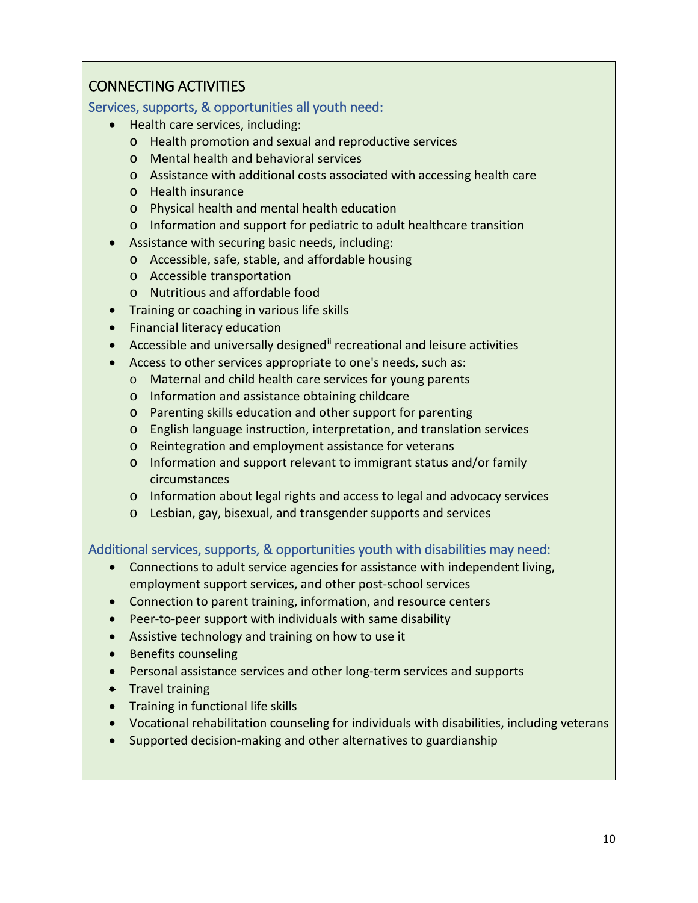## CONNECTING ACTIVITIES

Services, supports, & opportunities all youth need:

- Health care services, including:
	- o Health promotion and sexual and reproductive services
	- o Mental health and behavioral services
	- o Assistance with additional costs associated with accessing health care
	- o Health insurance
	- o Physical health and mental health education
	- o Information and support for pediatric to adult healthcare transition
- Assistance with securing basic needs, including:
	- o Accessible, safe, stable, and affordable housing
	- o Accessible transportation
	- o Nutritious and affordable food
- Training or coaching in various life skills
- Financial literacy education
- Accessible and universally designed<sup>[ii](#page-25-1)</sup> recreational and leisure activities
- Access to other services appropriate to one's needs, such as:
	- o Maternal and child health care services for young parents
	- o Information and assistance obtaining childcare
	- o Parenting skills education and other support for parenting
	- o English language instruction, interpretation, and translation services
	- o Reintegration and employment assistance for veterans
	- o Information and support relevant to immigrant status and/or family circumstances
	- o Information about legal rights and access to legal and advocacy services
	- o Lesbian, gay, bisexual, and transgender supports and services

- Connections to adult service agencies for assistance with independent living, employment support services, and other post-school services
- Connection to parent training, information, and resource centers
- Peer-to-peer support with individuals with same disability
- Assistive technology and training on how to use it
- Benefits counseling
- Personal assistance services and other long-term services and supports
- Travel training
- Training in functional life skills
- Vocational rehabilitation counseling for individuals with disabilities, including veterans
- Supported decision-making and other alternatives to guardianship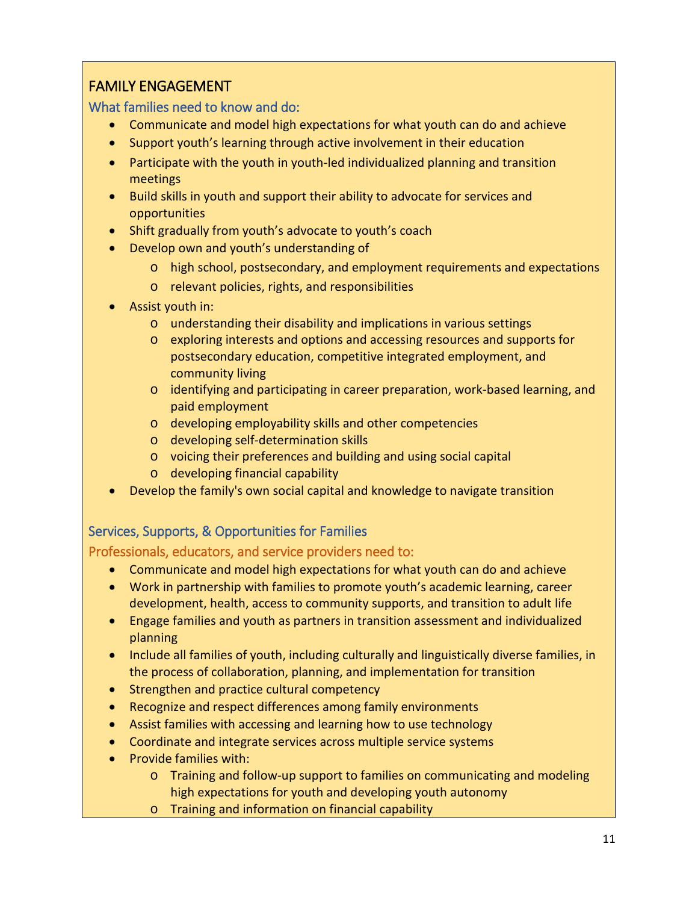## FAMILY ENGAGEMENT

What families need to know and do:

- Communicate and model high expectations for what youth can do and achieve
- Support youth's learning through active involvement in their education
- Participate with the youth in youth-led individualized planning and transition meetings
- Build skills in youth and support their ability to advocate for services and opportunities
- Shift gradually from youth's advocate to youth's coach
- Develop own and youth's understanding of
	- o high school, postsecondary, and employment requirements and expectations
	- o relevant policies, rights, and responsibilities
- Assist youth in:
	- o understanding their disability and implications in various settings
	- o exploring interests and options and accessing resources and supports for postsecondary education, competitive integrated employment, and community living
	- o identifying and participating in career preparation, work-based learning, and paid employment
	- o developing employability skills and other competencies
	- o developing self-determination skills
	- o voicing their preferences and building and using social capital
	- o developing financial capability
- Develop the family's own social capital and knowledge to navigate transition

## Services, Supports, & Opportunities for Families

## Professionals, educators, and service providers need to:

- Communicate and model high expectations for what youth can do and achieve
- Work in partnership with families to promote youth's academic learning, career development, health, access to community supports, and transition to adult life
- Engage families and youth as partners in transition assessment and individualized planning
- Include all families of youth, including culturally and linguistically diverse families, in the process of collaboration, planning, and implementation for transition
- Strengthen and practice cultural competency
- Recognize and respect differences among family environments
- Assist families with accessing and learning how to use technology
- Coordinate and integrate services across multiple service systems
- Provide families with:
	- o Training and follow-up support to families on communicating and modeling high expectations for youth and developing youth autonomy
	- o Training and information on financial capability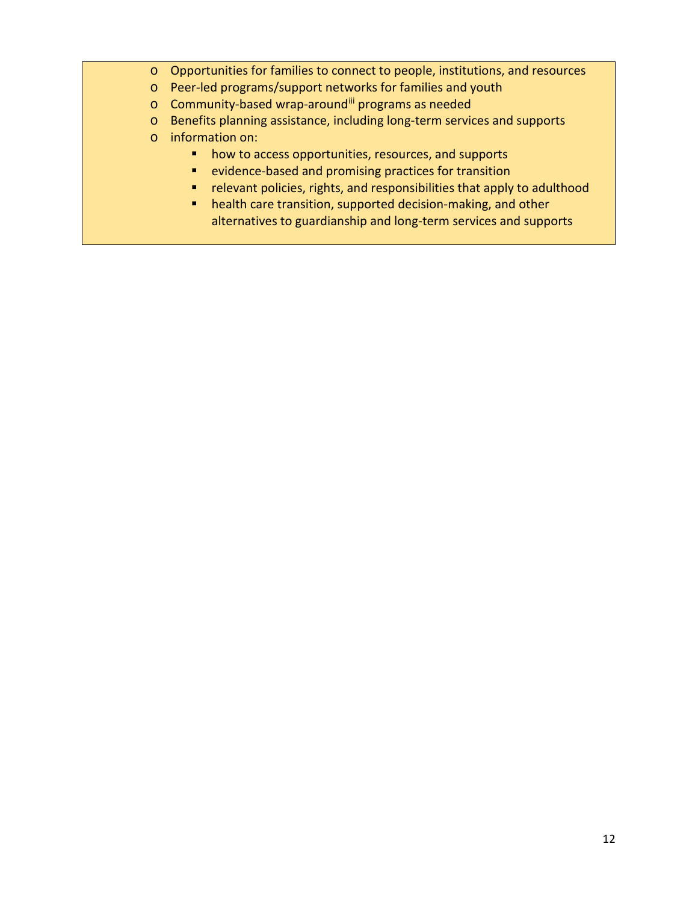- o Opportunities for families to connect to people, institutions, and resources
- o Peer-led programs/support networks for families and youth
- o Community-based wrap-around[iii](#page-25-2) programs as needed
- o Benefits planning assistance, including long-term services and supports
- o information on:
	- **•** how to access opportunities, resources, and supports
	- **E** evidence-based and promising practices for transition
	- relevant policies, rights, and responsibilities that apply to adulthood
	- health care transition, supported decision-making, and other alternatives to guardianship and long-term services and supports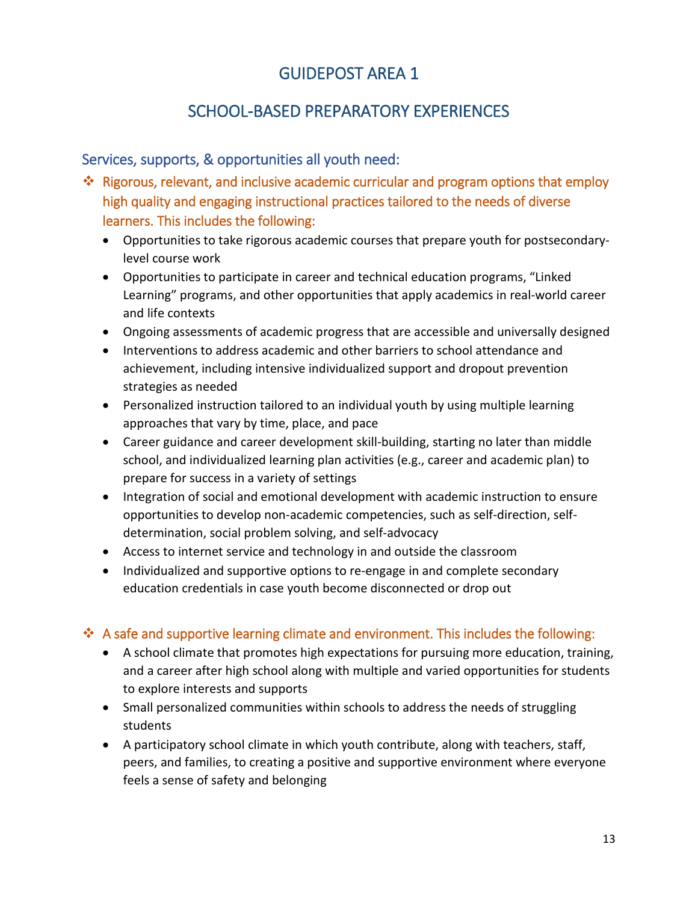# SCHOOL-BASED PREPARATORY EXPERIENCES

## Services, supports, & opportunities all youth need:

- ❖ Rigorous, relevant, and inclusive academic curricular and program options that employ high quality and engaging instructional practices tailored to the needs of diverse learners. This includes the following:
	- Opportunities to take rigorous academic courses that prepare youth for postsecondarylevel course work
	- Opportunities to participate in career and technical education programs, "Linked Learning" programs, and other opportunities that apply academics in real-world career and life contexts
	- Ongoing assessments of academic progress that are accessible and universally designed
	- Interventions to address academic and other barriers to school attendance and achievement, including intensive individualized support and dropout prevention strategies as needed
	- Personalized instruction tailored to an individual youth by using multiple learning approaches that vary by time, place, and pace
	- Career guidance and career development skill-building, starting no later than middle school, and individualized learning plan activities (e.g., career and academic plan) to prepare for success in a variety of settings
	- Integration of social and emotional development with academic instruction to ensure opportunities to develop non-academic competencies, such as self-direction, selfdetermination, social problem solving, and self-advocacy
	- Access to internet service and technology in and outside the classroom
	- Individualized and supportive options to re-engage in and complete secondary education credentials in case youth become disconnected or drop out

## $\cdot$  A safe and supportive learning climate and environment. This includes the following:

- A school climate that promotes high expectations for pursuing more education, training, and a career after high school along with multiple and varied opportunities for students to explore interests and supports
- Small personalized communities within schools to address the needs of struggling students
- A participatory school climate in which youth contribute, along with teachers, staff, peers, and families, to creating a positive and supportive environment where everyone feels a sense of safety and belonging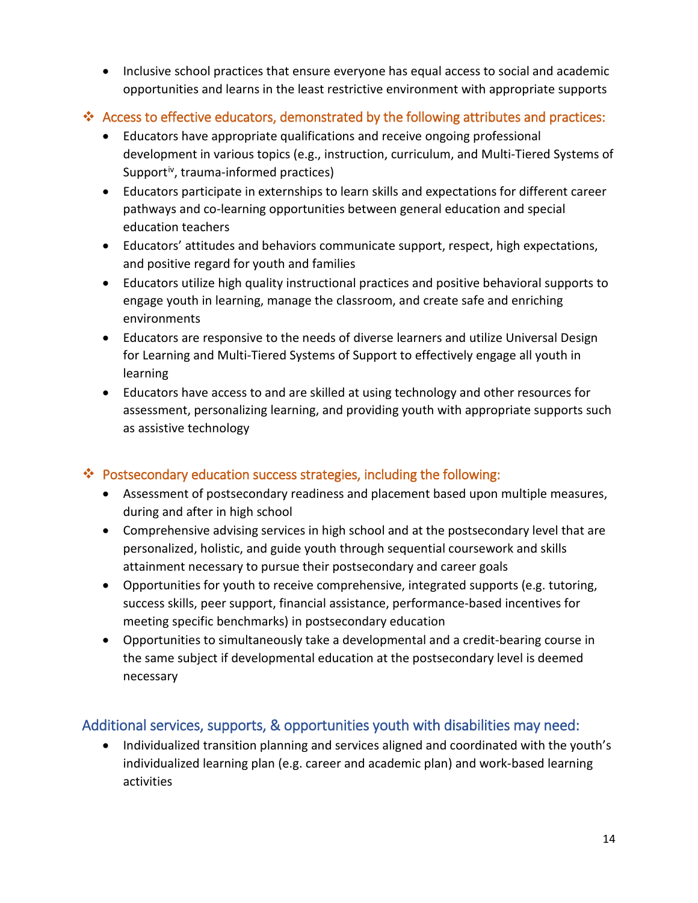• Inclusive school practices that ensure everyone has equal access to social and academic opportunities and learns in the least restrictive environment with appropriate supports

## $*$  Access to effective educators, demonstrated by the following attributes and practices:

- Educators have appropriate qualifications and receive ongoing professional development in various topics (e.g., instruction, curriculum, and Multi-Tiered Systems of Support<sup>iv</sup>, trauma-informed practices)
- Educators participate in externships to learn skills and expectations for different career pathways and co-learning opportunities between general education and special education teachers
- Educators' attitudes and behaviors communicate support, respect, high expectations, and positive regard for youth and families
- Educators utilize high quality instructional practices and positive behavioral supports to engage youth in learning, manage the classroom, and create safe and enriching environments
- Educators are responsive to the needs of diverse learners and utilize Universal Design for Learning and Multi-Tiered Systems of Support to effectively engage all youth in learning
- Educators have access to and are skilled at using technology and other resources for assessment, personalizing learning, and providing youth with appropriate supports such as assistive technology

## Postsecondary education success strategies, including the following:

- Assessment of postsecondary readiness and placement based upon multiple measures, during and after in high school
- Comprehensive advising services in high school and at the postsecondary level that are personalized, holistic, and guide youth through sequential coursework and skills attainment necessary to pursue their postsecondary and career goals
- Opportunities for youth to receive comprehensive, integrated supports (e.g. tutoring, success skills, peer support, financial assistance, performance-based incentives for meeting specific benchmarks) in postsecondary education
- Opportunities to simultaneously take a developmental and a credit-bearing course in the same subject if developmental education at the postsecondary level is deemed necessary

## Additional services, supports, & opportunities youth with disabilities may need:

• Individualized transition planning and services aligned and coordinated with the youth's individualized learning plan (e.g. career and academic plan) and work-based learning activities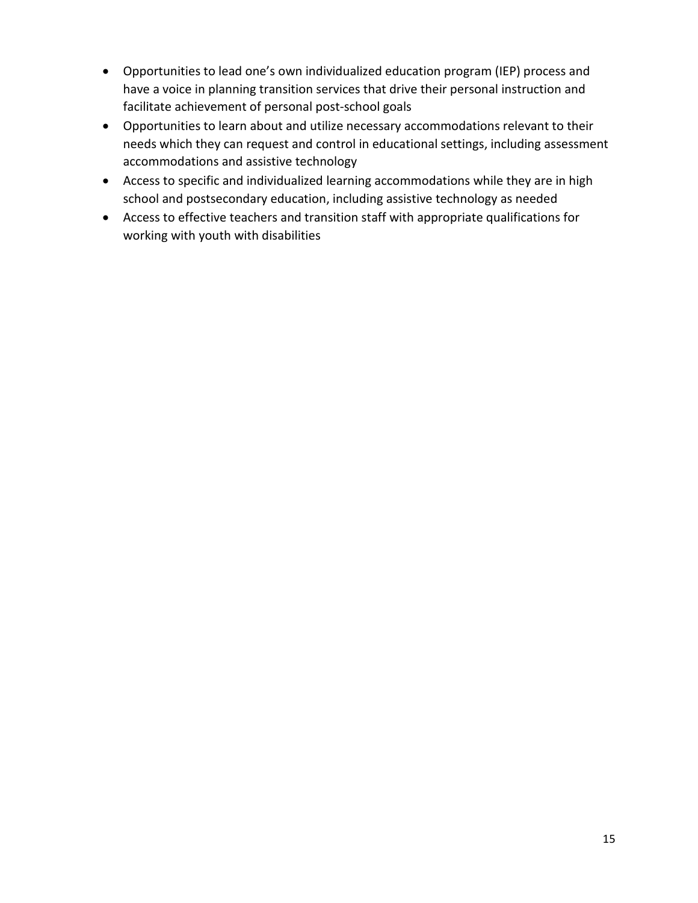- Opportunities to lead one's own individualized education program (IEP) process and have a voice in planning transition services that drive their personal instruction and facilitate achievement of personal post-school goals
- Opportunities to learn about and utilize necessary accommodations relevant to their needs which they can request and control in educational settings, including assessment accommodations and assistive technology
- Access to specific and individualized learning accommodations while they are in high school and postsecondary education, including assistive technology as needed
- Access to effective teachers and transition staff with appropriate qualifications for working with youth with disabilities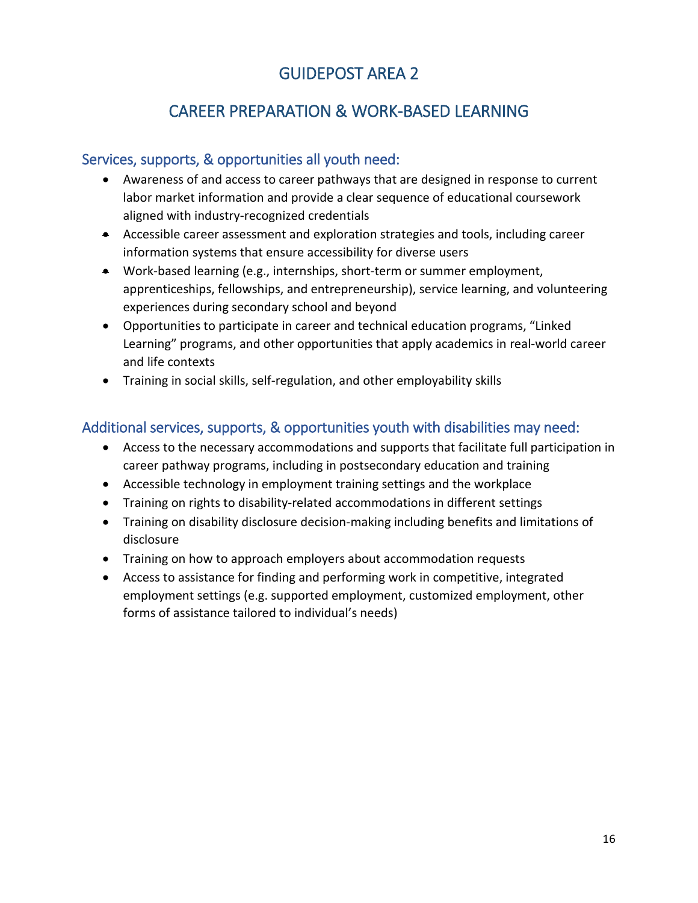# CAREER PREPARATION & WORK-BASED LEARNING

## Services, supports, & opportunities all youth need:

- Awareness of and access to career pathways that are designed in response to current labor market information and provide a clear sequence of educational coursework aligned with industry-recognized credentials
- Accessible career assessment and exploration strategies and tools, including career information systems that ensure accessibility for diverse users
- Work-based learning (e.g., internships, short-term or summer employment, apprenticeships, fellowships, and entrepreneurship), service learning, and volunteering experiences during secondary school and beyond
- Opportunities to participate in career and technical education programs, "Linked Learning" programs, and other opportunities that apply academics in real-world career and life contexts
- Training in social skills, self-regulation, and other employability skills

- Access to the necessary accommodations and supports that facilitate full participation in career pathway programs, including in postsecondary education and training
- Accessible technology in employment training settings and the workplace
- Training on rights to disability-related accommodations in different settings
- Training on disability disclosure decision-making including benefits and limitations of disclosure
- Training on how to approach employers about accommodation requests
- Access to assistance for finding and performing work in competitive, integrated employment settings (e.g. supported employment, customized employment, other forms of assistance tailored to individual's needs)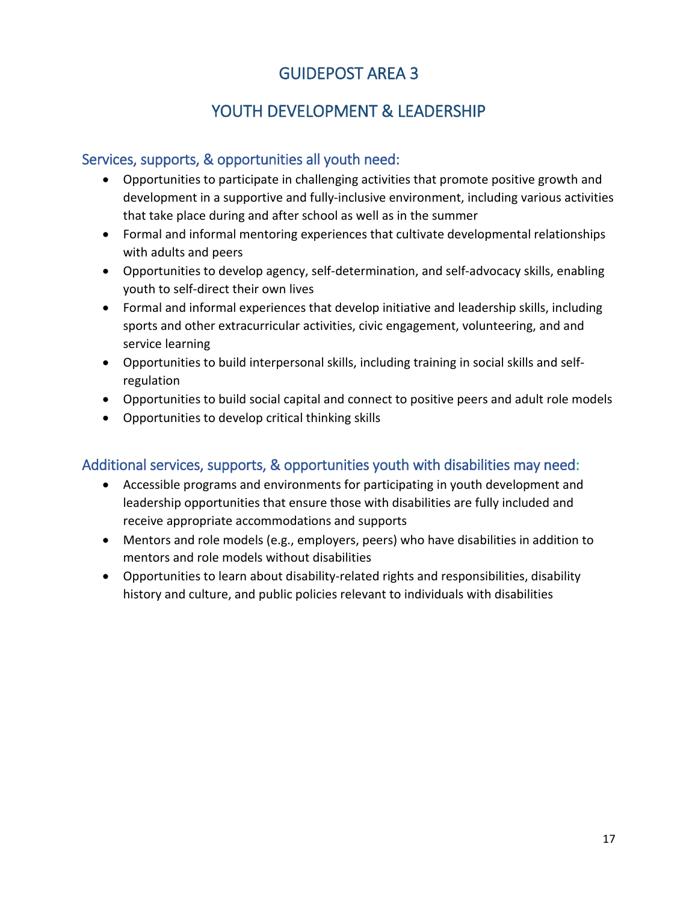# YOUTH DEVELOPMENT & LEADERSHIP

## Services, supports, & opportunities all youth need:

- Opportunities to participate in challenging activities that promote positive growth and development in a supportive and fully-inclusive environment, including various activities that take place during and after school as well as in the summer
- Formal and informal mentoring experiences that cultivate developmental relationships with adults and peers
- Opportunities to develop agency, self-determination, and self-advocacy skills, enabling youth to self-direct their own lives
- Formal and informal experiences that develop initiative and leadership skills, including sports and other extracurricular activities, civic engagement, volunteering, and and service learning
- Opportunities to build interpersonal skills, including training in social skills and selfregulation
- Opportunities to build social capital and connect to positive peers and adult role models
- Opportunities to develop critical thinking skills

- Accessible programs and environments for participating in youth development and leadership opportunities that ensure those with disabilities are fully included and receive appropriate accommodations and supports
- Mentors and role models (e.g., employers, peers) who have disabilities in addition to mentors and role models without disabilities
- Opportunities to learn about disability-related rights and responsibilities, disability history and culture, and public policies relevant to individuals with disabilities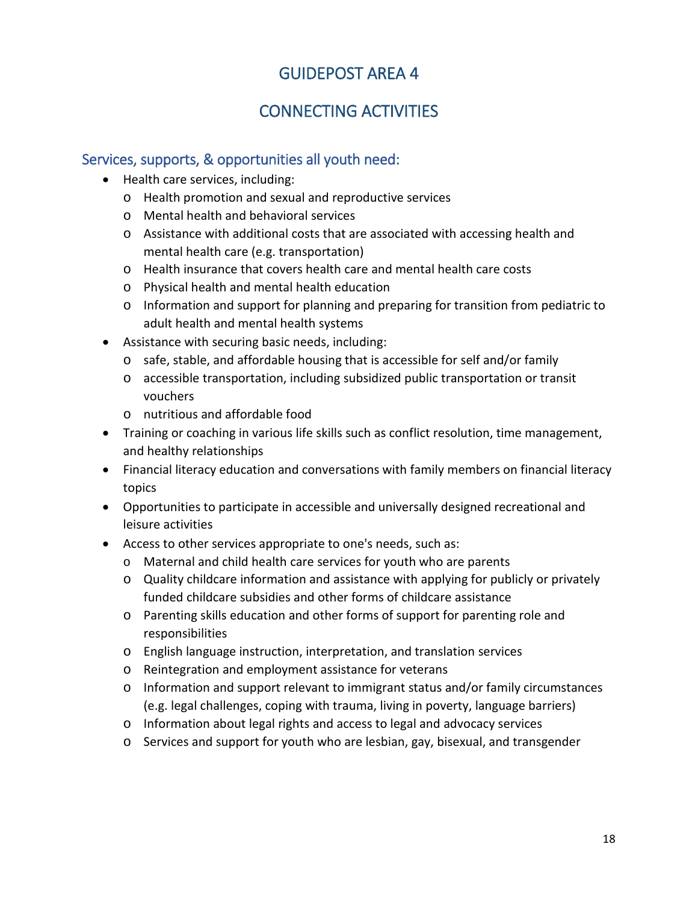# CONNECTING ACTIVITIES

## Services, supports, & opportunities all youth need:

- Health care services, including:
	- o Health promotion and sexual and reproductive services
	- o Mental health and behavioral services
	- o Assistance with additional costs that are associated with accessing health and mental health care (e.g. transportation)
	- o Health insurance that covers health care and mental health care costs
	- o Physical health and mental health education
	- o Information and support for planning and preparing for transition from pediatric to adult health and mental health systems
- Assistance with securing basic needs, including:
	- o safe, stable, and affordable housing that is accessible for self and/or family
	- o accessible transportation, including subsidized public transportation or transit vouchers
	- o nutritious and affordable food
- Training or coaching in various life skills such as conflict resolution, time management, and healthy relationships
- Financial literacy education and conversations with family members on financial literacy topics
- Opportunities to participate in accessible and universally designed recreational and leisure activities
- Access to other services appropriate to one's needs, such as:
	- o Maternal and child health care services for youth who are parents
	- o Quality childcare information and assistance with applying for publicly or privately funded childcare subsidies and other forms of childcare assistance
	- o Parenting skills education and other forms of support for parenting role and responsibilities
	- o English language instruction, interpretation, and translation services
	- o Reintegration and employment assistance for veterans
	- o Information and support relevant to immigrant status and/or family circumstances (e.g. legal challenges, coping with trauma, living in poverty, language barriers)
	- o Information about legal rights and access to legal and advocacy services
	- o Services and support for youth who are lesbian, gay, bisexual, and transgender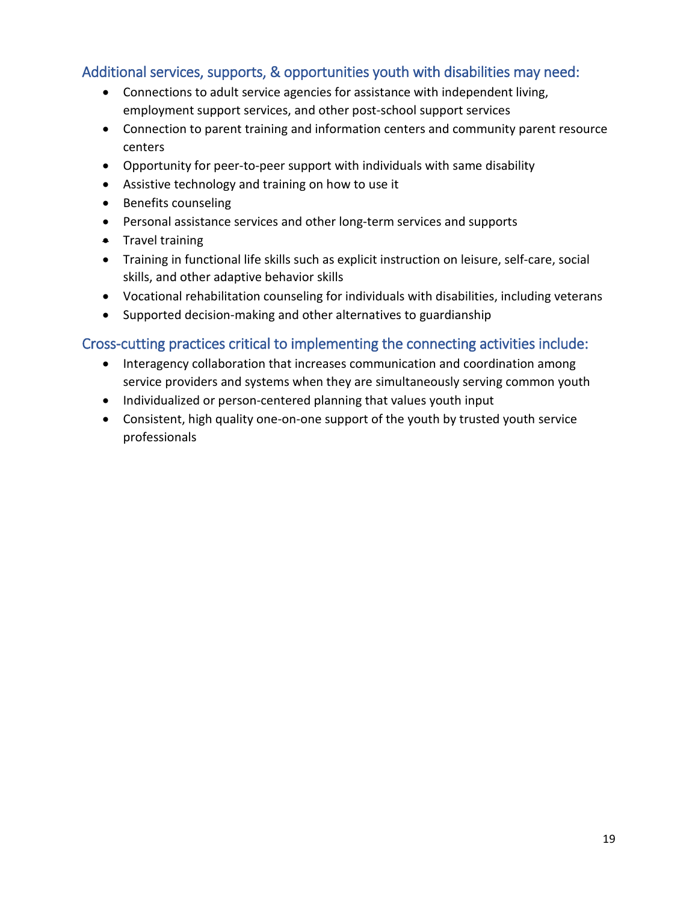## Additional services, supports, & opportunities youth with disabilities may need:

- Connections to adult service agencies for assistance with independent living, employment support services, and other post-school support services
- Connection to parent training and information centers and community parent resource centers
- Opportunity for peer-to-peer support with individuals with same disability
- Assistive technology and training on how to use it
- Benefits counseling
- Personal assistance services and other long-term services and supports
- Travel training
- Training in functional life skills such as explicit instruction on leisure, self-care, social skills, and other adaptive behavior skills
- Vocational rehabilitation counseling for individuals with disabilities, including veterans
- Supported decision-making and other alternatives to guardianship

## Cross-cutting practices critical to implementing the connecting activities include:

- Interagency collaboration that increases communication and coordination among service providers and systems when they are simultaneously serving common youth
- Individualized or person-centered planning that values youth input
- Consistent, high quality one-on-one support of the youth by trusted youth service professionals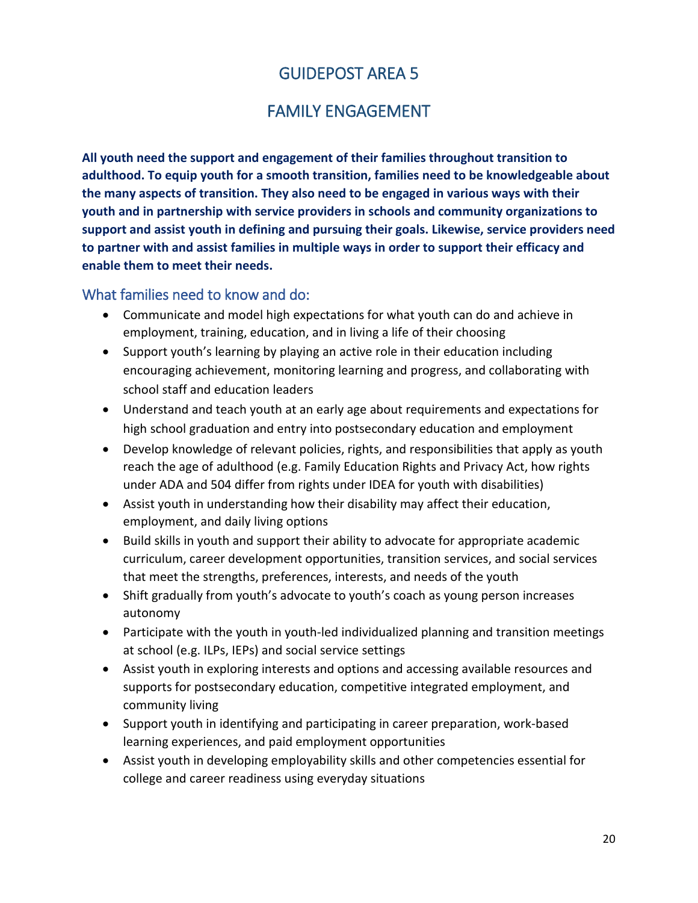## FAMILY ENGAGEMENT

**All youth need the support and engagement of their families throughout transition to adulthood. To equip youth for a smooth transition, families need to be knowledgeable about the many aspects of transition. They also need to be engaged in various ways with their youth and in partnership with service providers in schools and community organizations to support and assist youth in defining and pursuing their goals. Likewise, service providers need to partner with and assist families in multiple ways in order to support their efficacy and enable them to meet their needs.**

## What families need to know and do:

- Communicate and model high expectations for what youth can do and achieve in employment, training, education, and in living a life of their choosing
- Support youth's learning by playing an active role in their education including encouraging achievement, monitoring learning and progress, and collaborating with school staff and education leaders
- Understand and teach youth at an early age about requirements and expectations for high school graduation and entry into postsecondary education and employment
- Develop knowledge of relevant policies, rights, and responsibilities that apply as youth reach the age of adulthood (e.g. Family Education Rights and Privacy Act, how rights under ADA and 504 differ from rights under IDEA for youth with disabilities)
- Assist youth in understanding how their disability may affect their education, employment, and daily living options
- Build skills in youth and support their ability to advocate for appropriate academic curriculum, career development opportunities, transition services, and social services that meet the strengths, preferences, interests, and needs of the youth
- Shift gradually from youth's advocate to youth's coach as young person increases autonomy
- Participate with the youth in youth-led individualized planning and transition meetings at school (e.g. ILPs, IEPs) and social service settings
- Assist youth in exploring interests and options and accessing available resources and supports for postsecondary education, competitive integrated employment, and community living
- Support youth in identifying and participating in career preparation, work-based learning experiences, and paid employment opportunities
- Assist youth in developing employability skills and other competencies essential for college and career readiness using everyday situations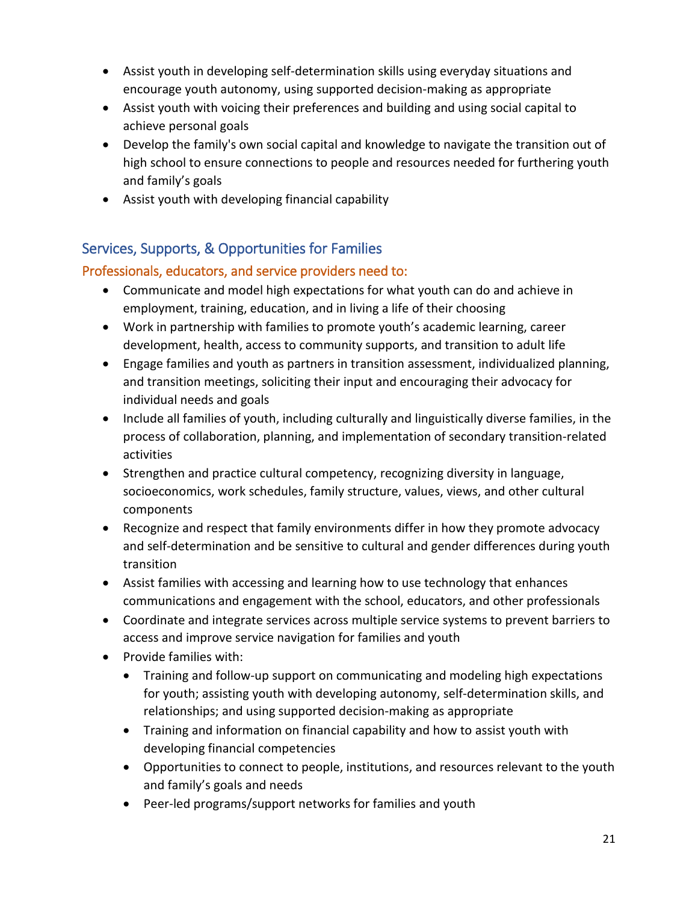- Assist youth in developing self-determination skills using everyday situations and encourage youth autonomy, using supported decision-making as appropriate
- Assist youth with voicing their preferences and building and using social capital to achieve personal goals
- Develop the family's own social capital and knowledge to navigate the transition out of high school to ensure connections to people and resources needed for furthering youth and family's goals
- Assist youth with developing financial capability

## Services, Supports, & Opportunities for Families

## Professionals, educators, and service providers need to:

- Communicate and model high expectations for what youth can do and achieve in employment, training, education, and in living a life of their choosing
- Work in partnership with families to promote youth's academic learning, career development, health, access to community supports, and transition to adult life
- Engage families and youth as partners in transition assessment, individualized planning, and transition meetings, soliciting their input and encouraging their advocacy for individual needs and goals
- Include all families of youth, including culturally and linguistically diverse families, in the process of collaboration, planning, and implementation of secondary transition-related activities
- Strengthen and practice cultural competency, recognizing diversity in language, socioeconomics, work schedules, family structure, values, views, and other cultural components
- Recognize and respect that family environments differ in how they promote advocacy and self-determination and be sensitive to cultural and gender differences during youth transition
- Assist families with accessing and learning how to use technology that enhances communications and engagement with the school, educators, and other professionals
- Coordinate and integrate services across multiple service systems to prevent barriers to access and improve service navigation for families and youth
- Provide families with:
	- Training and follow-up support on communicating and modeling high expectations for youth; assisting youth with developing autonomy, self-determination skills, and relationships; and using supported decision-making as appropriate
	- Training and information on financial capability and how to assist youth with developing financial competencies
	- Opportunities to connect to people, institutions, and resources relevant to the youth and family's goals and needs
	- Peer-led programs/support networks for families and youth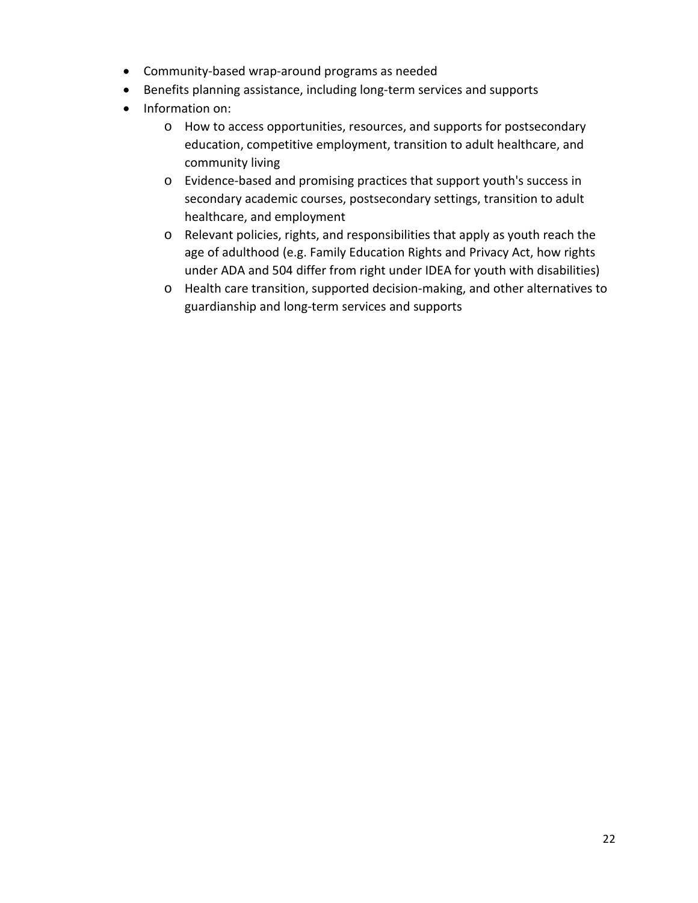- Community-based wrap-around programs as needed
- Benefits planning assistance, including long-term services and supports
- Information on:
	- o How to access opportunities, resources, and supports for postsecondary education, competitive employment, transition to adult healthcare, and community living
	- o Evidence-based and promising practices that support youth's success in secondary academic courses, postsecondary settings, transition to adult healthcare, and employment
	- o Relevant policies, rights, and responsibilities that apply as youth reach the age of adulthood (e.g. Family Education Rights and Privacy Act, how rights under ADA and 504 differ from right under IDEA for youth with disabilities)
	- o Health care transition, supported decision-making, and other alternatives to guardianship and long-term services and supports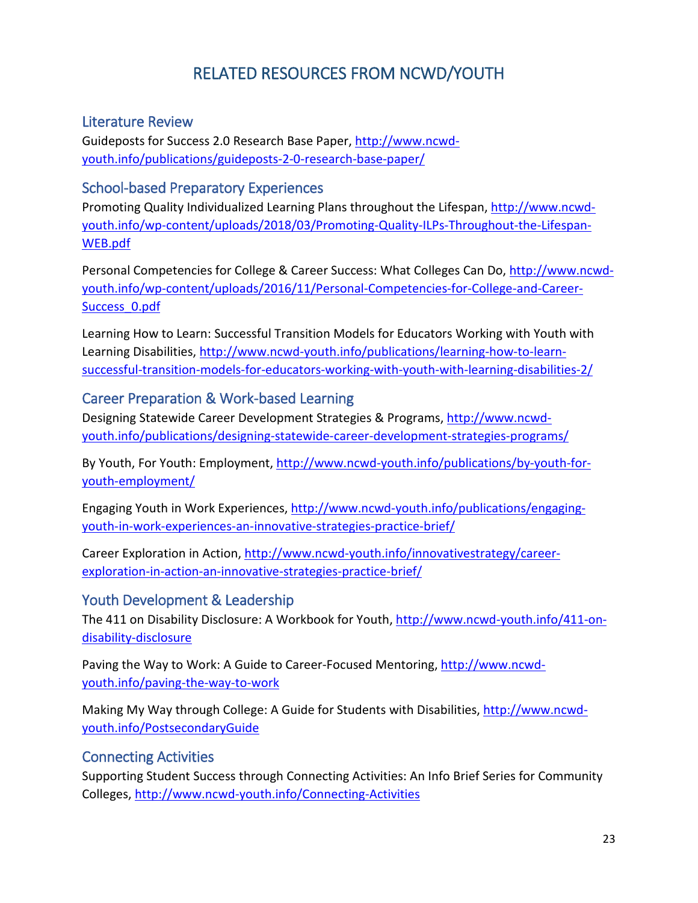# RELATED RESOURCES FROM NCWD/YOUTH

#### Literature Review

Guideposts for Success 2.0 Research Base Paper, [http://www.ncwd](http://www.ncwd-youth.info/publications/guideposts-2-0-research-base-paper/)[youth.info/publications/guideposts-2-0-research-base-paper/](http://www.ncwd-youth.info/publications/guideposts-2-0-research-base-paper/)

#### School-based Preparatory Experiences

Promoting Quality Individualized Learning Plans throughout the Lifespan, [http://www.ncwd](http://www.ncwd-youth.info/wp-content/uploads/2018/03/Promoting-Quality-ILPs-Throughout-the-Lifespan-WEB.pdf)[youth.info/wp-content/uploads/2018/03/Promoting-Quality-ILPs-Throughout-the-Lifespan-](http://www.ncwd-youth.info/wp-content/uploads/2018/03/Promoting-Quality-ILPs-Throughout-the-Lifespan-WEB.pdf)[WEB.pdf](http://www.ncwd-youth.info/wp-content/uploads/2018/03/Promoting-Quality-ILPs-Throughout-the-Lifespan-WEB.pdf)

Personal Competencies for College & Career Success: What Colleges Can Do, [http://www.ncwd](http://www.ncwd-youth.info/wp-content/uploads/2016/11/Personal-Competencies-for-College-and-Career-Success_0.pdf)[youth.info/wp-content/uploads/2016/11/Personal-Competencies-for-College-and-Career-](http://www.ncwd-youth.info/wp-content/uploads/2016/11/Personal-Competencies-for-College-and-Career-Success_0.pdf)[Success\\_0.pdf](http://www.ncwd-youth.info/wp-content/uploads/2016/11/Personal-Competencies-for-College-and-Career-Success_0.pdf)

Learning How to Learn: Successful Transition Models for Educators Working with Youth with Learning Disabilities, [http://www.ncwd-youth.info/publications/learning-how-to-learn](http://www.ncwd-youth.info/publications/learning-how-to-learn-successful-transition-models-for-educators-working-with-youth-with-learning-disabilities-2/)[successful-transition-models-for-educators-working-with-youth-with-learning-disabilities-2/](http://www.ncwd-youth.info/publications/learning-how-to-learn-successful-transition-models-for-educators-working-with-youth-with-learning-disabilities-2/)

## Career Preparation & Work-based Learning

Designing Statewide Career Development Strategies & Programs, [http://www.ncwd](http://www.ncwd-youth.info/publications/designing-statewide-career-development-strategies-programs/)[youth.info/publications/designing-statewide-career-development-strategies-programs/](http://www.ncwd-youth.info/publications/designing-statewide-career-development-strategies-programs/)

By Youth, For Youth: Employment, [http://www.ncwd-youth.info/publications/by-youth-for](http://www.ncwd-youth.info/publications/by-youth-for-youth-employment/)[youth-employment/](http://www.ncwd-youth.info/publications/by-youth-for-youth-employment/)

Engaging Youth in Work Experiences, [http://www.ncwd-youth.info/publications/engaging](http://www.ncwd-youth.info/publications/engaging-youth-in-work-experiences-an-innovative-strategies-practice-brief/)[youth-in-work-experiences-an-innovative-strategies-practice-brief/](http://www.ncwd-youth.info/publications/engaging-youth-in-work-experiences-an-innovative-strategies-practice-brief/)

Career Exploration in Action, [http://www.ncwd-youth.info/innovativestrategy/career](http://www.ncwd-youth.info/innovativestrategy/career-exploration-in-action-an-innovative-strategies-practice-brief/)[exploration-in-action-an-innovative-strategies-practice-brief/](http://www.ncwd-youth.info/innovativestrategy/career-exploration-in-action-an-innovative-strategies-practice-brief/)

#### Youth Development & Leadership

The 411 on Disability Disclosure: A Workbook for Youth, [http://www.ncwd-youth.info/411-on](http://www.ncwd-youth.info/411-on-disability-disclosure)[disability-disclosure](http://www.ncwd-youth.info/411-on-disability-disclosure)

Paving the Way to Work: A Guide to Career-Focused Mentoring, [http://www.ncwd](http://www.ncwd-youth.info/paving-the-way-to-work)[youth.info/paving-the-way-to-work](http://www.ncwd-youth.info/paving-the-way-to-work)

Making My Way through College: A Guide for Students with Disabilities, [http://www.ncwd](http://www.ncwd-youth.info/PostsecondaryGuide)[youth.info/PostsecondaryGuide](http://www.ncwd-youth.info/PostsecondaryGuide)

## Connecting Activities

Supporting Student Success through Connecting Activities: An Info Brief Series for Community Colleges, <http://www.ncwd-youth.info/Connecting-Activities>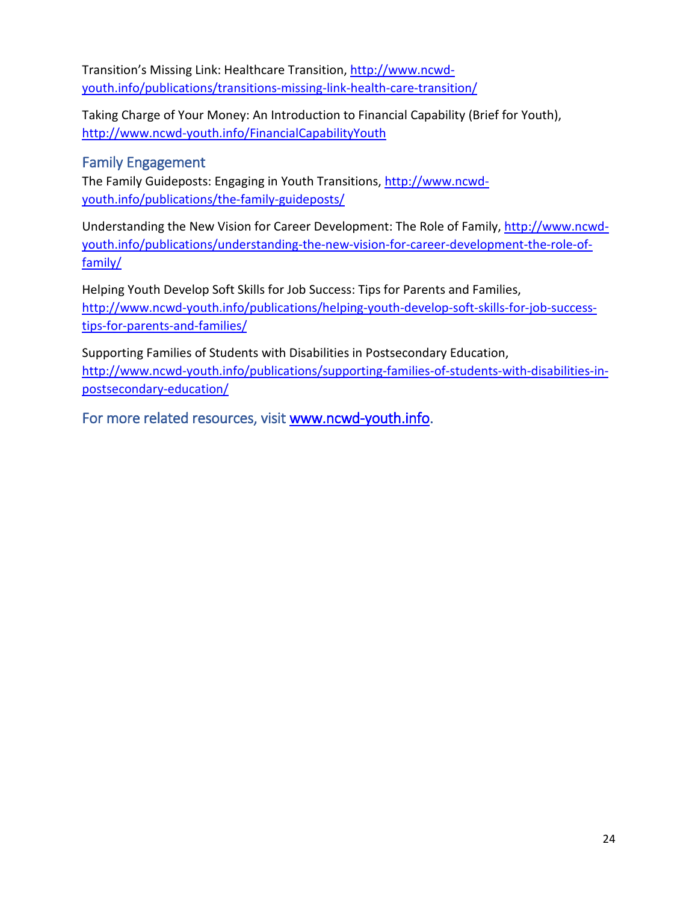Transition's Missing Link: Healthcare Transition, [http://www.ncwd](http://www.ncwd-youth.info/publications/transitions-missing-link-health-care-transition/)[youth.info/publications/transitions-missing-link-health-care-transition/](http://www.ncwd-youth.info/publications/transitions-missing-link-health-care-transition/)

Taking Charge of Your Money: An Introduction to Financial Capability (Brief for Youth), <http://www.ncwd-youth.info/FinancialCapabilityYouth>

## Family Engagement

The Family Guideposts: Engaging in Youth Transitions, [http://www.ncwd](http://www.ncwd-youth.info/publications/the-family-guideposts/)[youth.info/publications/the-family-guideposts/](http://www.ncwd-youth.info/publications/the-family-guideposts/)

Understanding the New Vision for Career Development: The Role of Family, [http://www.ncwd](http://www.ncwd-youth.info/publications/understanding-the-new-vision-for-career-development-the-role-of-family/)[youth.info/publications/understanding-the-new-vision-for-career-development-the-role-of](http://www.ncwd-youth.info/publications/understanding-the-new-vision-for-career-development-the-role-of-family/)[family/](http://www.ncwd-youth.info/publications/understanding-the-new-vision-for-career-development-the-role-of-family/)

Helping Youth Develop Soft Skills for Job Success: Tips for Parents and Families, [http://www.ncwd-youth.info/publications/helping-youth-develop-soft-skills-for-job-success](http://www.ncwd-youth.info/publications/helping-youth-develop-soft-skills-for-job-success-tips-for-parents-and-families/)[tips-for-parents-and-families/](http://www.ncwd-youth.info/publications/helping-youth-develop-soft-skills-for-job-success-tips-for-parents-and-families/)

Supporting Families of Students with Disabilities in Postsecondary Education, [http://www.ncwd-youth.info/publications/supporting-families-of-students-with-disabilities-in](http://www.ncwd-youth.info/publications/supporting-families-of-students-with-disabilities-in-postsecondary-education/)[postsecondary-education/](http://www.ncwd-youth.info/publications/supporting-families-of-students-with-disabilities-in-postsecondary-education/)

For more related resources, visit [www.ncwd-youth.info.](http://www.ncwd-youth.info/)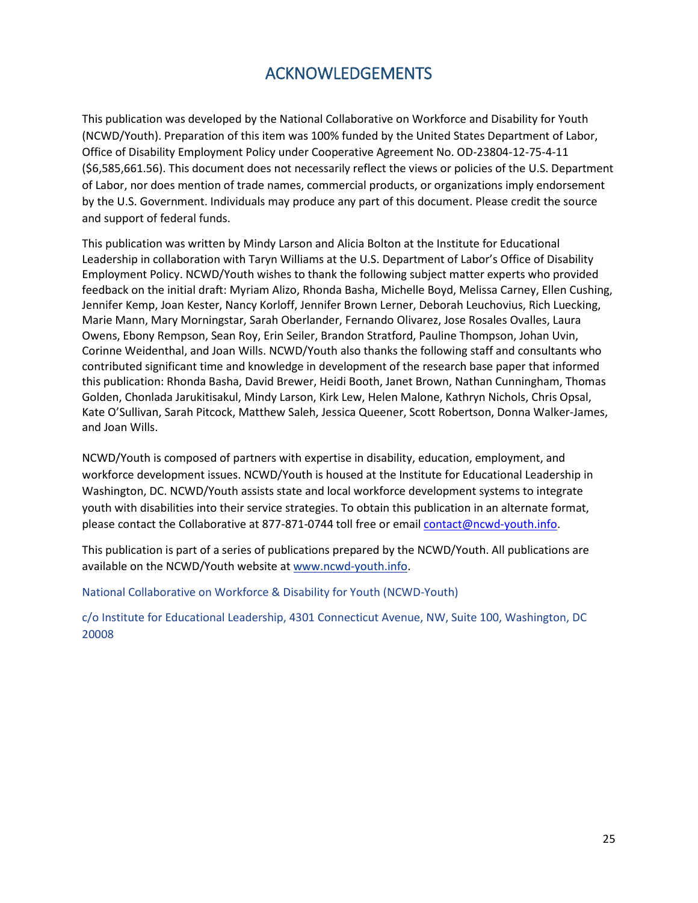## ACKNOWLEDGEMENTS

This publication was developed by the National Collaborative on Workforce and Disability for Youth (NCWD/Youth). Preparation of this item was 100% funded by the United States Department of Labor, Office of Disability Employment Policy under Cooperative Agreement No. OD-23804-12-75-4-11 (\$6,585,661.56). This document does not necessarily reflect the views or policies of the U.S. Department of Labor, nor does mention of trade names, commercial products, or organizations imply endorsement by the U.S. Government. Individuals may produce any part of this document. Please credit the source and support of federal funds.

This publication was written by Mindy Larson and Alicia Bolton at the Institute for Educational Leadership in collaboration with Taryn Williams at the U.S. Department of Labor's Office of Disability Employment Policy. NCWD/Youth wishes to thank the following subject matter experts who provided feedback on the initial draft: Myriam Alizo, Rhonda Basha, Michelle Boyd, Melissa Carney, Ellen Cushing, Jennifer Kemp, Joan Kester, Nancy Korloff, Jennifer Brown Lerner, Deborah Leuchovius, Rich Luecking, Marie Mann, Mary Morningstar, Sarah Oberlander, Fernando Olivarez, Jose Rosales Ovalles, Laura Owens, Ebony Rempson, Sean Roy, Erin Seiler, Brandon Stratford, Pauline Thompson, Johan Uvin, Corinne Weidenthal, and Joan Wills. NCWD/Youth also thanks the following staff and consultants who contributed significant time and knowledge in development of the research base paper that informed this publication: Rhonda Basha, David Brewer, Heidi Booth, Janet Brown, Nathan Cunningham, Thomas Golden, Chonlada Jarukitisakul, Mindy Larson, Kirk Lew, Helen Malone, Kathryn Nichols, Chris Opsal, Kate O'Sullivan, Sarah Pitcock, Matthew Saleh, Jessica Queener, Scott Robertson, Donna Walker-James, and Joan Wills.

NCWD/Youth is composed of partners with expertise in disability, education, employment, and workforce development issues. NCWD/Youth is housed at the Institute for Educational Leadership in Washington, DC. NCWD/Youth assists state and local workforce development systems to integrate youth with disabilities into their service strategies. To obtain this publication in an alternate format, please contact the Collaborative at 877-871-0744 toll free or email [contact@ncwd-youth.info.](mailto:contact@ncwd-youth.info)

This publication is part of a series of publications prepared by the NCWD/Youth. All publications are available on the NCWD/Youth website at www.ncwd-youth.info.

National Collaborative on Workforce & Disability for Youth (NCWD-Youth)

c/o Institute for Educational Leadership, 4301 Connecticut Avenue, NW, Suite 100, Washington, DC 20008